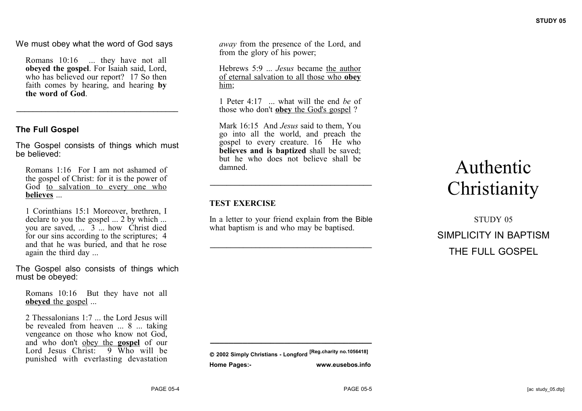We must obey what the word of God says

Romans 10:16 ... they have not all **obeyed the gospel**. For Isaiah said, Lord, who has believed our report? 17 So then faith comes by hearing, and hearing **by the word of God**.

**\_\_\_\_\_\_\_\_\_\_\_\_\_\_\_\_\_\_\_\_\_\_\_\_\_\_\_\_\_\_\_\_\_\_\_\_\_\_\_**

# **The Full Gospel**

The Gospel consists of things which must be believed:

Romans 1:16 For I am not ashamed of the gospel of Christ: for it is the power of God to salvation to every one who **believes** ...

1 Corinthians 15:1 Moreover, brethren, I declare to you the gospel  $\ldots$  2 by which  $\ldots$ you are saved,  $\ldots$  3 ... how Christ died for our sins according to the scriptures; 4 and that he was buried, and that he rose again the third day ...

The Gospel also consists of things which must be obeyed:

Romans 10:16 But they have not all **obeyed** the gospel ...

2 Thessalonians  $1:7$  the Lord Jesus will be revealed from heaven ... 8 ... taking vengeance on those who know not God, and who don't obey the **gospel** of our Lord Jesus Christ: 9 Who will be punished with everlasting devastation

*away* from the presence of the Lord, and from the glory of his power;

Hebrews 5:9 ... *Jesus* became the author of eternal salvation to all those who **obey** him;

1 Peter 4:17 ... what will the end *be* of those who don't **obey** the God's gospel ?

Mark 16:15 And *Jesus* said to them, You go into all the world, and preach the gospel to every creature. 16 He who **believes and is baptized** shall be saved; but he who does not believe shall be damned.

**\_\_\_\_\_\_\_\_\_\_\_\_\_\_\_\_\_\_\_\_\_\_\_\_\_\_\_\_\_\_\_\_\_\_\_\_\_\_\_**

### **TEST EXERCISE**

In a letter to your friend explain from the Bible what baptism is and who may be baptised.

**\_\_\_\_\_\_\_\_\_\_\_\_\_\_\_\_\_\_\_\_\_\_\_\_\_\_\_\_\_\_\_\_\_\_\_\_\_\_\_**

# Authentic **Christianity**

STUDY 05 SIMPLICITY IN BAPTISM THE FULL GOSPEL

**\_\_\_\_\_\_\_\_\_\_\_\_\_\_\_\_\_\_\_\_\_\_\_\_\_\_\_\_\_\_\_\_\_\_\_**

**2002 Simply Christians - Longford [Reg.charity no.1056418] Home Pages:- www.eusebos.info**